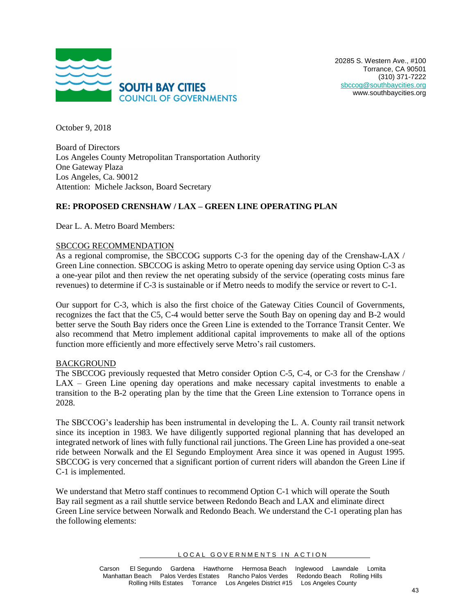

October 9, 2018

Board of Directors Los Angeles County Metropolitan Transportation Authority One Gateway Plaza Los Angeles, Ca. 90012 Attention: Michele Jackson, Board Secretary

# **RE: PROPOSED CRENSHAW / LAX – GREEN LINE OPERATING PLAN**

Dear L. A. Metro Board Members:

#### SBCCOG RECOMMENDATION

As a regional compromise, the SBCCOG supports C-3 for the opening day of the Crenshaw-LAX / Green Line connection. SBCCOG is asking Metro to operate opening day service using Option C-3 as a one-year pilot and then review the net operating subsidy of the service (operating costs minus fare revenues) to determine if C-3 is sustainable or if Metro needs to modify the service or revert to C-1.

Our support for C-3, which is also the first choice of the Gateway Cities Council of Governments, recognizes the fact that the C5, C-4 would better serve the South Bay on opening day and B-2 would better serve the South Bay riders once the Green Line is extended to the Torrance Transit Center. We also recommend that Metro implement additional capital improvements to make all of the options function more efficiently and more effectively serve Metro's rail customers.

#### BACKGROUND

The SBCCOG previously requested that Metro consider Option C-5, C-4, or C-3 for the Crenshaw / LAX – Green Line opening day operations and make necessary capital investments to enable a transition to the B-2 operating plan by the time that the Green Line extension to Torrance opens in 2028.

The SBCCOG's leadership has been instrumental in developing the L. A. County rail transit network since its inception in 1983. We have diligently supported regional planning that has developed an integrated network of lines with fully functional rail junctions. The Green Line has provided a one-seat ride between Norwalk and the El Segundo Employment Area since it was opened in August 1995. SBCCOG is very concerned that a significant portion of current riders will abandon the Green Line if C-1 is implemented.

We understand that Metro staff continues to recommend Option C-1 which will operate the South Bay rail segment as a rail shuttle service between Redondo Beach and LAX and eliminate direct Green Line service between Norwalk and Redondo Beach. We understand the C-1 operating plan has the following elements:

LOCAL GOVERNMENTS IN ACTION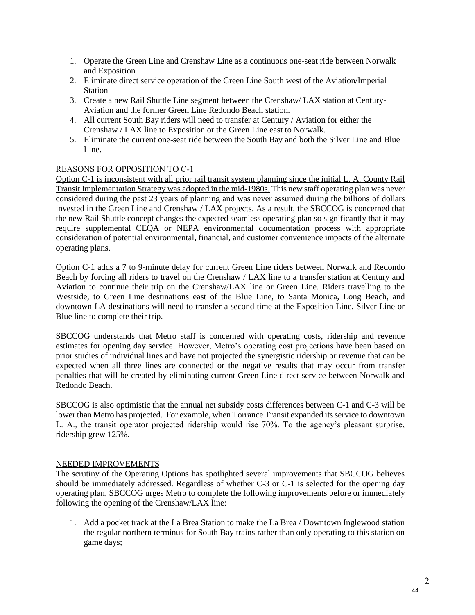- 1. Operate the Green Line and Crenshaw Line as a continuous one-seat ride between Norwalk and Exposition
- 2. Eliminate direct service operation of the Green Line South west of the Aviation/Imperial Station
- 3. Create a new Rail Shuttle Line segment between the Crenshaw/ LAX station at Century-Aviation and the former Green Line Redondo Beach station.
- 4. All current South Bay riders will need to transfer at Century / Aviation for either the Crenshaw / LAX line to Exposition or the Green Line east to Norwalk.
- 5. Eliminate the current one-seat ride between the South Bay and both the Silver Line and Blue Line.

# REASONS FOR OPPOSITION TO C-1

Option C-1 is inconsistent with all prior rail transit system planning since the initial L. A. County Rail Transit Implementation Strategy was adopted in the mid-1980s. This new staff operating plan was never considered during the past 23 years of planning and was never assumed during the billions of dollars invested in the Green Line and Crenshaw / LAX projects. As a result, the SBCCOG is concerned that the new Rail Shuttle concept changes the expected seamless operating plan so significantly that it may require supplemental CEQA or NEPA environmental documentation process with appropriate consideration of potential environmental, financial, and customer convenience impacts of the alternate operating plans.

Option C-1 adds a 7 to 9-minute delay for current Green Line riders between Norwalk and Redondo Beach by forcing all riders to travel on the Crenshaw / LAX line to a transfer station at Century and Aviation to continue their trip on the Crenshaw/LAX line or Green Line. Riders travelling to the Westside, to Green Line destinations east of the Blue Line, to Santa Monica, Long Beach, and downtown LA destinations will need to transfer a second time at the Exposition Line, Silver Line or Blue line to complete their trip.

SBCCOG understands that Metro staff is concerned with operating costs, ridership and revenue estimates for opening day service. However, Metro's operating cost projections have been based on prior studies of individual lines and have not projected the synergistic ridership or revenue that can be expected when all three lines are connected or the negative results that may occur from transfer penalties that will be created by eliminating current Green Line direct service between Norwalk and Redondo Beach.

SBCCOG is also optimistic that the annual net subsidy costs differences between C-1 and C-3 will be lower than Metro has projected. For example, when Torrance Transit expanded its service to downtown L. A., the transit operator projected ridership would rise 70%. To the agency's pleasant surprise, ridership grew 125%.

## NEEDED IMPROVEMENTS

The scrutiny of the Operating Options has spotlighted several improvements that SBCCOG believes should be immediately addressed. Regardless of whether C-3 or C-1 is selected for the opening day operating plan, SBCCOG urges Metro to complete the following improvements before or immediately following the opening of the Crenshaw/LAX line:

1. Add a pocket track at the La Brea Station to make the La Brea / Downtown Inglewood station the regular northern terminus for South Bay trains rather than only operating to this station on game days;